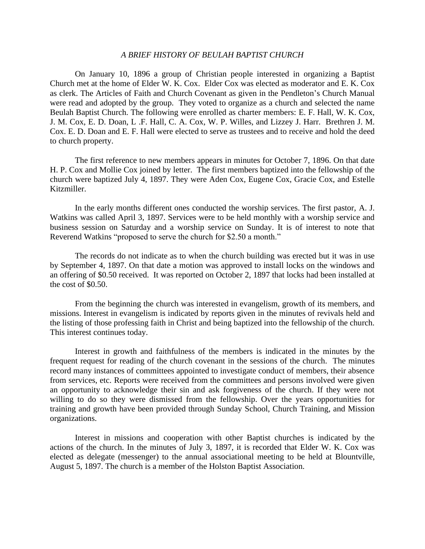## *A BRIEF HISTORY OF BEULAH BAPTIST CHURCH*

On January 10, 1896 a group of Christian people interested in organizing a Baptist Church met at the home of Elder W. K. Cox. Elder Cox was elected as moderator and E. K. Cox as clerk. The Articles of Faith and Church Covenant as given in the Pendleton's Church Manual were read and adopted by the group. They voted to organize as a church and selected the name Beulah Baptist Church. The following were enrolled as charter members: E. F. Hall, W. K. Cox, J. M. Cox, E. D. Doan, L .F. Hall, C. A. Cox, W. P. Willes, and Lizzey J. Harr. Brethren J. M. Cox. E. D. Doan and E. F. Hall were elected to serve as trustees and to receive and hold the deed to church property.

The first reference to new members appears in minutes for October 7, 1896. On that date H. P. Cox and Mollie Cox joined by letter. The first members baptized into the fellowship of the church were baptized July 4, 1897. They were Aden Cox, Eugene Cox, Gracie Cox, and Estelle Kitzmiller.

In the early months different ones conducted the worship services. The first pastor, A. J. Watkins was called April 3, 1897. Services were to be held monthly with a worship service and business session on Saturday and a worship service on Sunday. It is of interest to note that Reverend Watkins "proposed to serve the church for \$2.50 a month."

The records do not indicate as to when the church building was erected but it was in use by September 4, 1897. On that date a motion was approved to install locks on the windows and an offering of \$0.50 received. It was reported on October 2, 1897 that locks had been installed at the cost of \$0.50.

From the beginning the church was interested in evangelism, growth of its members, and missions. Interest in evangelism is indicated by reports given in the minutes of revivals held and the listing of those professing faith in Christ and being baptized into the fellowship of the church. This interest continues today.

Interest in growth and faithfulness of the members is indicated in the minutes by the frequent request for reading of the church covenant in the sessions of the church. The minutes record many instances of committees appointed to investigate conduct of members, their absence from services, etc. Reports were received from the committees and persons involved were given an opportunity to acknowledge their sin and ask forgiveness of the church. If they were not willing to do so they were dismissed from the fellowship. Over the years opportunities for training and growth have been provided through Sunday School, Church Training, and Mission organizations.

Interest in missions and cooperation with other Baptist churches is indicated by the actions of the church. In the minutes of July 3, 1897, it is recorded that Elder W. K. Cox was elected as delegate (messenger) to the annual associational meeting to be held at Blountville, August 5, 1897. The church is a member of the Holston Baptist Association.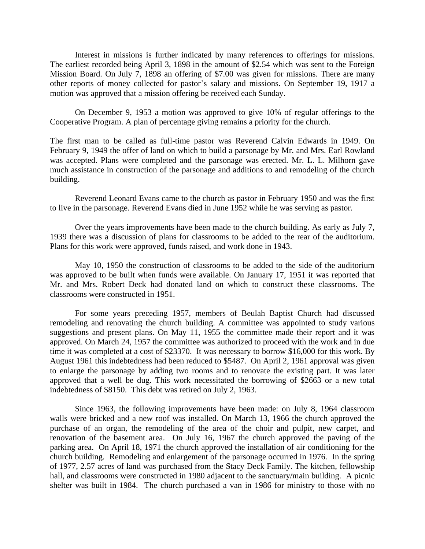Interest in missions is further indicated by many references to offerings for missions. The earliest recorded being April 3, 1898 in the amount of \$2.54 which was sent to the Foreign Mission Board. On July 7, 1898 an offering of \$7.00 was given for missions. There are many other reports of money collected for pastor's salary and missions. On September 19, 1917 a motion was approved that a mission offering be received each Sunday.

On December 9, 1953 a motion was approved to give 10% of regular offerings to the Cooperative Program. A plan of percentage giving remains a priority for the church.

The first man to be called as full-time pastor was Reverend Calvin Edwards in 1949. On February 9, 1949 the offer of land on which to build a parsonage by Mr. and Mrs. Earl Rowland was accepted. Plans were completed and the parsonage was erected. Mr. L. L. Milhorn gave much assistance in construction of the parsonage and additions to and remodeling of the church building.

Reverend Leonard Evans came to the church as pastor in February 1950 and was the first to live in the parsonage. Reverend Evans died in June 1952 while he was serving as pastor.

Over the years improvements have been made to the church building. As early as July 7, 1939 there was a discussion of plans for classrooms to be added to the rear of the auditorium. Plans for this work were approved, funds raised, and work done in 1943.

May 10, 1950 the construction of classrooms to be added to the side of the auditorium was approved to be built when funds were available. On January 17, 1951 it was reported that Mr. and Mrs. Robert Deck had donated land on which to construct these classrooms. The classrooms were constructed in 1951.

For some years preceding 1957, members of Beulah Baptist Church had discussed remodeling and renovating the church building. A committee was appointed to study various suggestions and present plans. On May 11, 1955 the committee made their report and it was approved. On March 24, 1957 the committee was authorized to proceed with the work and in due time it was completed at a cost of \$23370. It was necessary to borrow \$16,000 for this work. By August 1961 this indebtedness had been reduced to \$5487. On April 2, 1961 approval was given to enlarge the parsonage by adding two rooms and to renovate the existing part. It was later approved that a well be dug. This work necessitated the borrowing of \$2663 or a new total indebtedness of \$8150. This debt was retired on July 2, 1963.

Since 1963, the following improvements have been made: on July 8, 1964 classroom walls were bricked and a new roof was installed. On March 13, 1966 the church approved the purchase of an organ, the remodeling of the area of the choir and pulpit, new carpet, and renovation of the basement area. On July 16, 1967 the church approved the paving of the parking area. On April 18, 1971 the church approved the installation of air conditioning for the church building. Remodeling and enlargement of the parsonage occurred in 1976. In the spring of 1977, 2.57 acres of land was purchased from the Stacy Deck Family. The kitchen, fellowship hall, and classrooms were constructed in 1980 adjacent to the sanctuary/main building. A picnic shelter was built in 1984. The church purchased a van in 1986 for ministry to those with no